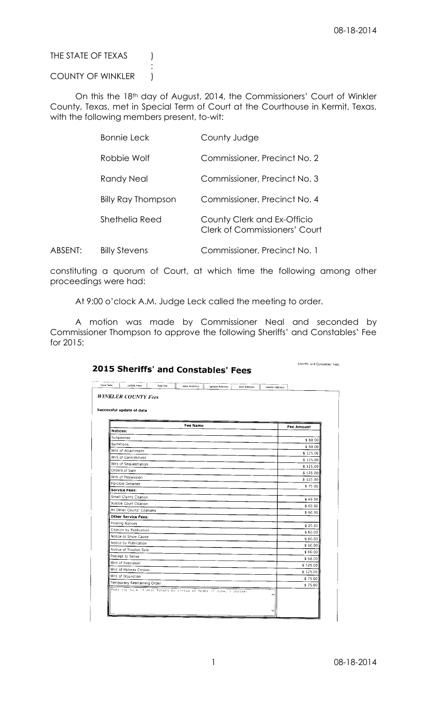THE STATE OF TEXAS (

## COUNTY OF WINKLER |

:

On this the 18th day of August, 2014, the Commissioners' Court of Winkler County, Texas, met in Special Term of Court at the Courthouse in Kermit, Texas, with the following members present, to-wit:

| <b>Bonnie Leck</b>        | County Judge                                                 |
|---------------------------|--------------------------------------------------------------|
| Robbie Wolf               | Commissioner, Precinct No. 2                                 |
| Randy Neal                | Commissioner, Precinct No. 3                                 |
| <b>Billy Ray Thompson</b> | Commissioner, Precinct No. 4                                 |
| Shethelia Reed            | County Clerk and Ex-Officio<br>Clerk of Commissioners' Court |
|                           |                                                              |

ABSENT: Billy Stevens Commissioner, Precinct No. 1

constituting a quorum of Court, at which time the following among other proceedings were had:

At 9:00 o'clock A.M. Judge Leck called the meeting to order.

A motion was made by Commissioner Neal and seconded by Commissioner Thompson to approve the following Sheriffs' and Constables' Fee for 2015:

| Successful update of data                                          |            |  |  |
|--------------------------------------------------------------------|------------|--|--|
| Fee Name                                                           | Fee Amount |  |  |
| Notices:                                                           |            |  |  |
| Subpoenas                                                          | \$60.00    |  |  |
| Summons                                                            | \$60.00    |  |  |
| Writ of Attachment                                                 | \$125.00   |  |  |
| Writ of Garnishment                                                | \$125.00   |  |  |
| Writ of Sequestration                                              | \$125.00   |  |  |
| Orders of Sale                                                     | \$125.00   |  |  |
| Writ of Possession                                                 | \$125.00   |  |  |
| Forcible Detainer                                                  | \$75.00    |  |  |
| Service Fees:                                                      |            |  |  |
| Small Claims Citation                                              | \$60.00    |  |  |
| Justice Court Citation                                             | \$60.00    |  |  |
| All Other Courts' Citations                                        | \$60.00    |  |  |
| Other Service Fees:                                                |            |  |  |
| Posting Notices                                                    | \$20.00    |  |  |
| Citation by Publication                                            | \$60.00    |  |  |
| Notice to Show Cause<br>Notice by Publication                      | \$60.00    |  |  |
| Notice of Trustee Sale                                             | \$60.00    |  |  |
| Precept to Serve                                                   | \$60.00    |  |  |
| Writ of Execution                                                  | \$60.00    |  |  |
| Writ of Habeas Corpus                                              | \$125.00   |  |  |
| Writ of Injunction                                                 | \$125.00   |  |  |
| Temporary Restraining Order                                        | \$75.00    |  |  |
| Fees cor Sale of Real Estate by virtue of Order of Sale, 2 percent | \$75.00    |  |  |
|                                                                    |            |  |  |

## 2015 Sheriffs' and Constables' Fees

Sheriffs' and Constables' Fees